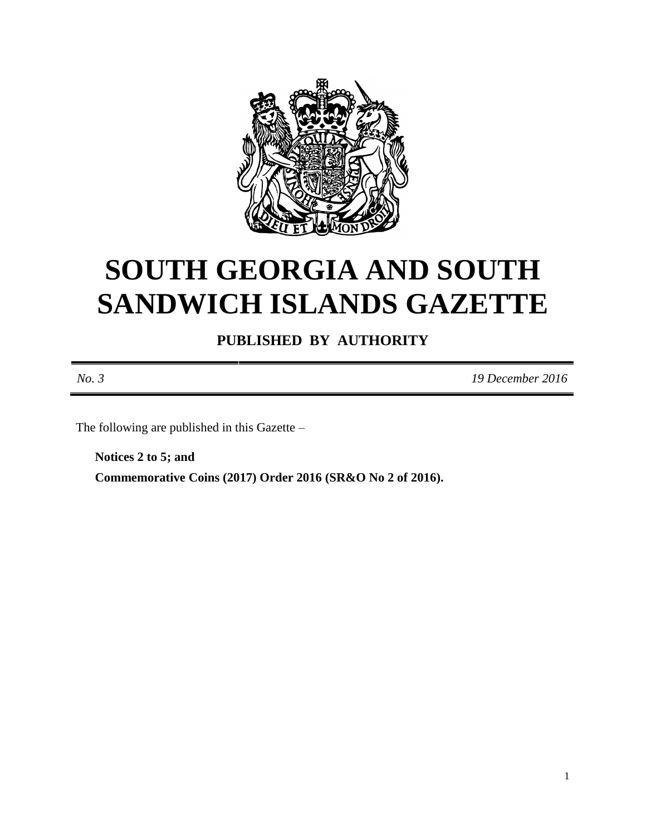

# **SOUTH GEORGIA AND SOUTH SANDWICH ISLANDS GAZETTE**

**PUBLISHED BY AUTHORITY**

*No. 3 19 December 2016*

The following are published in this Gazette –

**Notices 2 to 5; and Commemorative Coins (2017) Order 2016 (SR&O No 2 of 2016).**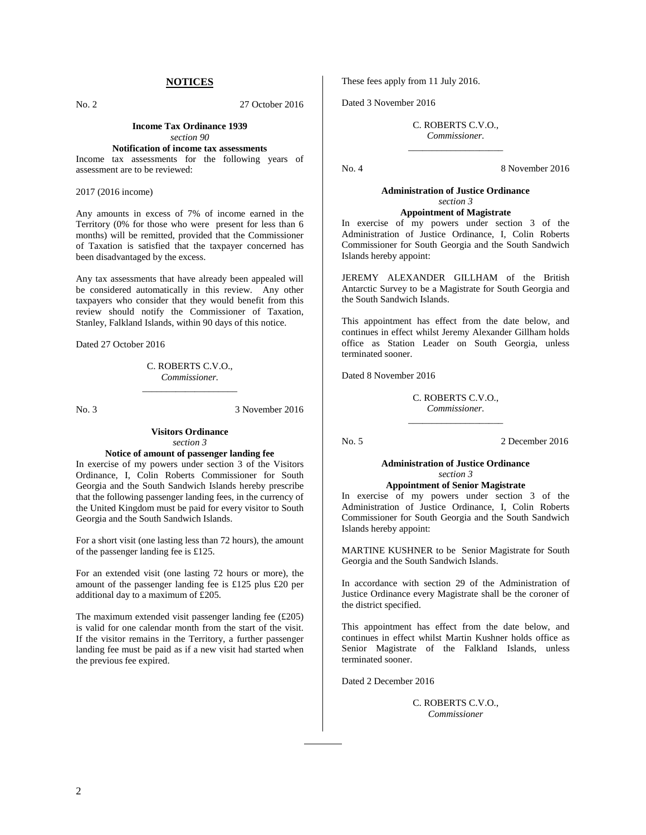#### **NOTICES**

No. 2 27 October 2016

**Income Tax Ordinance 1939** *section 90*

**Notification of income tax assessments**

Income tax assessments for the following years of assessment are to be reviewed:

2017 (2016 income)

Any amounts in excess of 7% of income earned in the Territory (0% for those who were present for less than 6 months) will be remitted, provided that the Commissioner of Taxation is satisfied that the taxpayer concerned has been disadvantaged by the excess.

Any tax assessments that have already been appealed will be considered automatically in this review. Any other taxpayers who consider that they would benefit from this review should notify the Commissioner of Taxation, Stanley, Falkland Islands, within 90 days of this notice.

Dated 27 October 2016

C. ROBERTS C.V.O., *Commissioner.* \_\_\_\_\_\_\_\_\_\_\_\_\_\_\_\_\_\_\_\_

No. 3 3 November 2016

#### **Visitors Ordinance** *section 3*

**Notice of amount of passenger landing fee**

In exercise of my powers under section 3 of the Visitors Ordinance, I, Colin Roberts Commissioner for South Georgia and the South Sandwich Islands hereby prescribe that the following passenger landing fees, in the currency of the United Kingdom must be paid for every visitor to South Georgia and the South Sandwich Islands.

For a short visit (one lasting less than 72 hours), the amount of the passenger landing fee is £125.

For an extended visit (one lasting 72 hours or more), the amount of the passenger landing fee is £125 plus £20 per additional day to a maximum of £205.

The maximum extended visit passenger landing fee  $(E205)$ is valid for one calendar month from the start of the visit. If the visitor remains in the Territory, a further passenger landing fee must be paid as if a new visit had started when the previous fee expired.

These fees apply from 11 July 2016.

Dated 3 November 2016

C. ROBERTS C.V.O., *Commissioner.* \_\_\_\_\_\_\_\_\_\_\_\_\_\_\_\_\_\_\_\_

No. 4 8 November 2016

#### **Administration of Justice Ordinance** *section 3*

**Appointment of Magistrate**

In exercise of my powers under section 3 of the Administration of Justice Ordinance, I, Colin Roberts Commissioner for South Georgia and the South Sandwich Islands hereby appoint:

JEREMY ALEXANDER GILLHAM of the British Antarctic Survey to be a Magistrate for South Georgia and the South Sandwich Islands.

This appointment has effect from the date below, and continues in effect whilst Jeremy Alexander Gillham holds office as Station Leader on South Georgia, unless terminated sooner.

Dated 8 November 2016

C. ROBERTS C.V.O., *Commissioner.* \_\_\_\_\_\_\_\_\_\_\_\_\_\_\_\_\_\_\_\_

No. 5 2 December 2016

#### **Administration of Justice Ordinance** *section 3*

#### **Appointment of Senior Magistrate**

In exercise of my powers under section 3 of the Administration of Justice Ordinance, I, Colin Roberts Commissioner for South Georgia and the South Sandwich Islands hereby appoint:

MARTINE KUSHNER to be Senior Magistrate for South Georgia and the South Sandwich Islands.

In accordance with section 29 of the Administration of Justice Ordinance every Magistrate shall be the coroner of the district specified.

This appointment has effect from the date below, and continues in effect whilst Martin Kushner holds office as Senior Magistrate of the Falkland Islands, unless terminated sooner.

Dated 2 December 2016

C. ROBERTS C.V.O., *Commissioner*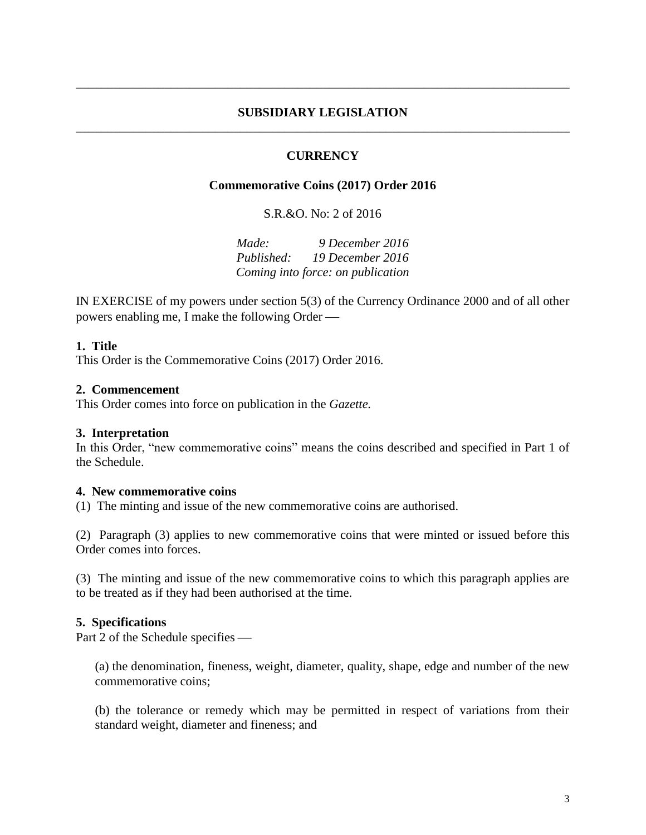# **SUBSIDIARY LEGISLATION** \_\_\_\_\_\_\_\_\_\_\_\_\_\_\_\_\_\_\_\_\_\_\_\_\_\_\_\_\_\_\_\_\_\_\_\_\_\_\_\_\_\_\_\_\_\_\_\_\_\_\_\_\_\_\_\_\_\_\_\_\_\_\_\_\_\_\_\_\_\_\_\_\_\_\_\_\_\_

\_\_\_\_\_\_\_\_\_\_\_\_\_\_\_\_\_\_\_\_\_\_\_\_\_\_\_\_\_\_\_\_\_\_\_\_\_\_\_\_\_\_\_\_\_\_\_\_\_\_\_\_\_\_\_\_\_\_\_\_\_\_\_\_\_\_\_\_\_\_\_\_\_\_\_\_\_\_

# **CURRENCY**

## **Commemorative Coins (2017) Order 2016**

S.R.&O. No: 2 of 2016

*Made: 9 December 2016 Published: 19 December 2016 Coming into force: on publication*

IN EXERCISE of my powers under section 5(3) of the Currency Ordinance 2000 and of all other powers enabling me, I make the following Order

#### **1. Title**

This Order is the Commemorative Coins (2017) Order 2016.

### **2. Commencement**

This Order comes into force on publication in the *Gazette.*

#### **3. Interpretation**

In this Order, "new commemorative coins" means the coins described and specified in Part 1 of the Schedule.

#### **4. New commemorative coins**

(1) The minting and issue of the new commemorative coins are authorised.

(2) Paragraph (3) applies to new commemorative coins that were minted or issued before this Order comes into forces.

(3) The minting and issue of the new commemorative coins to which this paragraph applies are to be treated as if they had been authorised at the time.

#### **5. Specifications**

Part 2 of the Schedule specifies

(a) the denomination, fineness, weight, diameter, quality, shape, edge and number of the new commemorative coins;

(b) the tolerance or remedy which may be permitted in respect of variations from their standard weight, diameter and fineness; and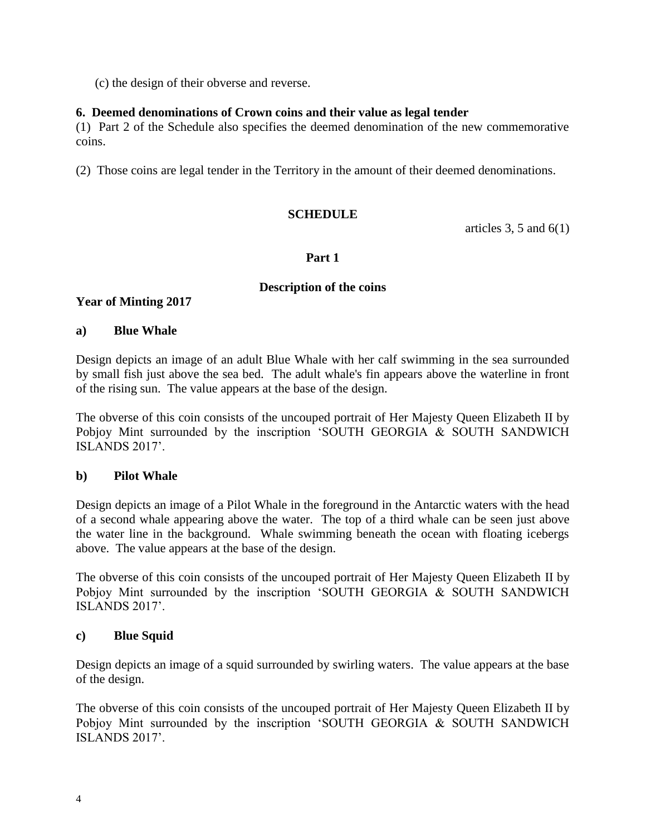(c) the design of their obverse and reverse.

# **6. Deemed denominations of Crown coins and their value as legal tender**

(1) Part 2 of the Schedule also specifies the deemed denomination of the new commemorative coins.

(2) Those coins are legal tender in the Territory in the amount of their deemed denominations.

# **SCHEDULE**

articles 3, 5 and  $6(1)$ 

# **Part 1**

# **Description of the coins**

# **Year of Minting 2017**

# **a) Blue Whale**

Design depicts an image of an adult Blue Whale with her calf swimming in the sea surrounded by small fish just above the sea bed. The adult whale's fin appears above the waterline in front of the rising sun. The value appears at the base of the design.

The obverse of this coin consists of the uncouped portrait of Her Majesty Queen Elizabeth II by Pobjoy Mint surrounded by the inscription 'SOUTH GEORGIA & SOUTH SANDWICH ISLANDS 2017'.

# **b) Pilot Whale**

Design depicts an image of a Pilot Whale in the foreground in the Antarctic waters with the head of a second whale appearing above the water. The top of a third whale can be seen just above the water line in the background. Whale swimming beneath the ocean with floating icebergs above. The value appears at the base of the design.

The obverse of this coin consists of the uncouped portrait of Her Majesty Queen Elizabeth II by Pobjoy Mint surrounded by the inscription 'SOUTH GEORGIA & SOUTH SANDWICH ISLANDS 2017'.

# **c) Blue Squid**

Design depicts an image of a squid surrounded by swirling waters. The value appears at the base of the design.

The obverse of this coin consists of the uncouped portrait of Her Majesty Queen Elizabeth II by Pobjoy Mint surrounded by the inscription 'SOUTH GEORGIA & SOUTH SANDWICH ISLANDS 2017'.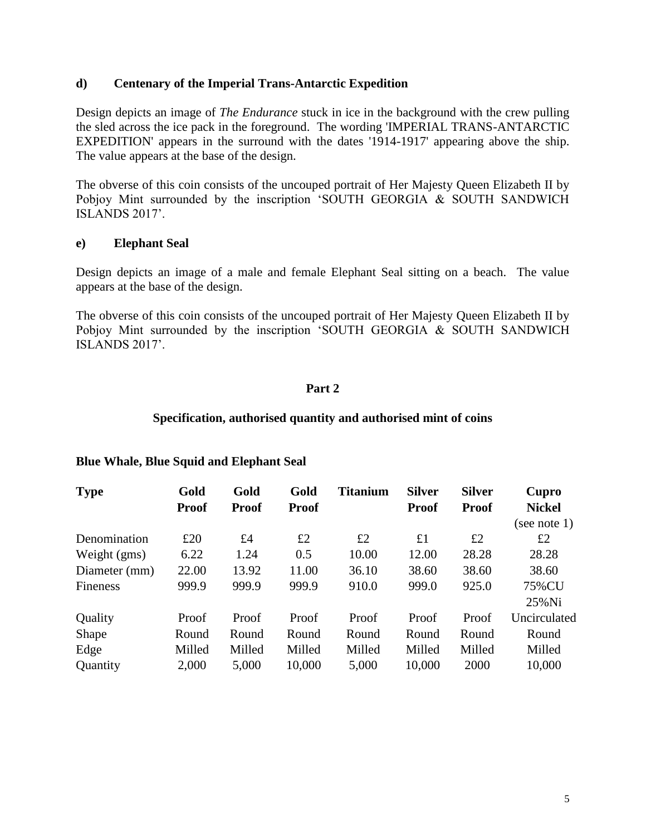# **d) Centenary of the Imperial Trans-Antarctic Expedition**

Design depicts an image of *The Endurance* stuck in ice in the background with the crew pulling the sled across the ice pack in the foreground. The wording 'IMPERIAL TRANS-ANTARCTIC EXPEDITION' appears in the surround with the dates '1914-1917' appearing above the ship. The value appears at the base of the design.

The obverse of this coin consists of the uncouped portrait of Her Majesty Queen Elizabeth II by Pobjoy Mint surrounded by the inscription 'SOUTH GEORGIA & SOUTH SANDWICH ISLANDS 2017'.

# **e) Elephant Seal**

Design depicts an image of a male and female Elephant Seal sitting on a beach. The value appears at the base of the design.

The obverse of this coin consists of the uncouped portrait of Her Majesty Queen Elizabeth II by Pobjoy Mint surrounded by the inscription 'SOUTH GEORGIA & SOUTH SANDWICH ISLANDS 2017'.

### **Part 2**

#### **Specification, authorised quantity and authorised mint of coins**

#### **Blue Whale, Blue Squid and Elephant Seal**

| <b>Type</b>   | Gold<br><b>Proof</b> | Gold<br><b>Proof</b> | Gold<br><b>Proof</b> | <b>Titanium</b> | <b>Silver</b><br><b>Proof</b> | <b>Silver</b><br><b>Proof</b> | Cupro<br><b>Nickel</b> |
|---------------|----------------------|----------------------|----------------------|-----------------|-------------------------------|-------------------------------|------------------------|
|               |                      |                      |                      |                 |                               |                               |                        |
| Denomination  | £20                  | £4                   | £2                   | £2              | £1                            | £2                            | £2                     |
| Weight (gms)  | 6.22                 | 1.24                 | 0.5                  | 10.00           | 12.00                         | 28.28                         | 28.28                  |
| Diameter (mm) | 22.00                | 13.92                | 11.00                | 36.10           | 38.60                         | 38.60                         | 38.60                  |
| Fineness      | 999.9                | 999.9                | 999.9                | 910.0           | 999.0                         | 925.0                         | 75%CU                  |
|               |                      |                      |                      |                 |                               |                               | 25%Ni                  |
| Quality       | Proof                | Proof                | Proof                | Proof           | Proof                         | Proof                         | Uncirculated           |
| Shape         | Round                | Round                | Round                | Round           | Round                         | Round                         | Round                  |
| Edge          | Milled               | Milled               | Milled               | Milled          | Milled                        | Milled                        | Milled                 |
| Quantity      | 2,000                | 5,000                | 10,000               | 5,000           | 10,000                        | 2000                          | 10,000                 |